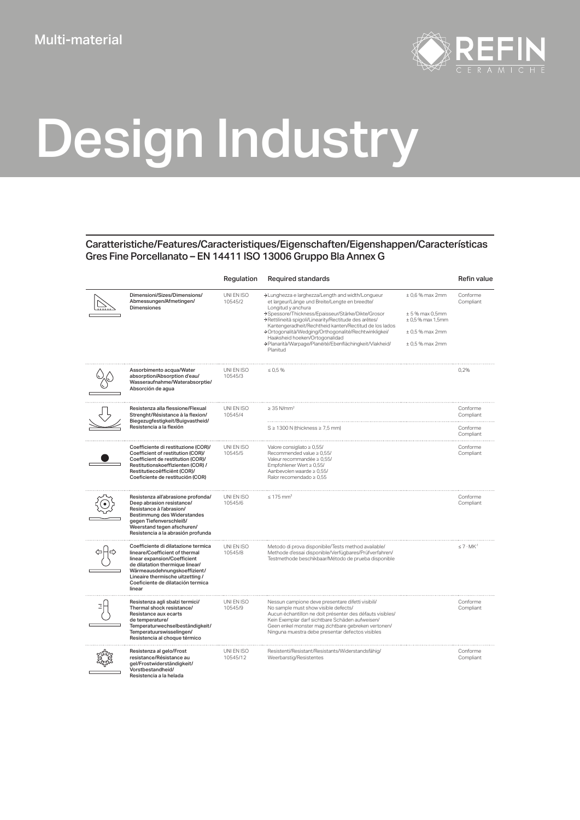

## Design Industry

## Caratteristiche/Features/Caracteristiques/Eigenschaften/Eigenshappen/Características Gres Fine Porcellanato – EN 14411 ISO 13006 Gruppo Bla Annex G

|                                                                                                                                                                                                                                                             | Regulation             | <b>Required standards</b>                                                                                                                                                                                                                                                                                                                                                                                                                                        |                                                                                                              | <b>Refin value</b>     |
|-------------------------------------------------------------------------------------------------------------------------------------------------------------------------------------------------------------------------------------------------------------|------------------------|------------------------------------------------------------------------------------------------------------------------------------------------------------------------------------------------------------------------------------------------------------------------------------------------------------------------------------------------------------------------------------------------------------------------------------------------------------------|--------------------------------------------------------------------------------------------------------------|------------------------|
| Dimensioni/Sizes/Dimensions/<br>Abmessungen/Afmetingen/<br><b>Dimensiones</b>                                                                                                                                                                               | UNI EN ISO<br>10545/2  | >Lunghezza e larghezza/Length and width/Longueur<br>et largeur/Länge und Breite/Lengte en breedte/<br>Longitud y anchura<br>>Spessore/Thickness/Epaisseur/Stärke/Dikte/Grosor<br>>Rettilineità spigoli/Linearity/Rectitude des arêtes/<br>Kantengeradheit/Rechtheid kanten/Rectitud de los lados<br>>Ortogonalità/Wedging/Orthogonalité/Rechtwinkligkei/<br>Haaksheid hoeken/Ortogonalidad<br>>Planarità/Warpage/Planéité/Ebenflächingkeit/Vlakheid/<br>Planitud | $± 0.6$ % max 2mm<br>$± 5%$ max 0.5mm<br>$\pm$ 0,5 % max 1,5mm<br>$\pm 0.5$ % max 2mm<br>$\pm$ 0,5 % max 2mm | Conforme<br>Compliant  |
| Assorbimento acqua/Water<br>absorption/Absorption d'eau/<br>Wasseraufnahme/Waterabsorptie/<br>Absorción de agua                                                                                                                                             | UNI EN ISO<br>10545/3  | $\leq 0.5 \%$                                                                                                                                                                                                                                                                                                                                                                                                                                                    |                                                                                                              | 0,2%                   |
| Resistenza alla flessione/Flexual<br>Strenght/Résistance à la flexion/<br>Biegezugfestigkeit/Buigvastheid/<br>Resistencia a la flexión                                                                                                                      | UNI EN ISO<br>10545/4  | $\geq$ 35 N/mm <sup>2</sup>                                                                                                                                                                                                                                                                                                                                                                                                                                      |                                                                                                              | Conforme<br>Compliant  |
|                                                                                                                                                                                                                                                             |                        | $S \geq 1300$ N (thickness $\geq 7.5$ mm)                                                                                                                                                                                                                                                                                                                                                                                                                        |                                                                                                              | Conforme<br>Compliant  |
| Coefficiente di restituzione (COR)/<br>Coefficient of restitution (COR)/<br>Coefficient de restitution (COR)/<br>Restitutionskoeffizienten (COR) /<br>Restitutiecoëfficiënt (COR)/<br>Coeficiente de restitución (COR)                                      | UNI EN ISO<br>10545/5  | Valore consigliato ≥ 0,55/<br>Recommended value ≥ 0,55/<br>Valeur recommandée ≥ 0.55/<br>Empfohlener Wert ≥ 0,55/<br>Aanbevolen waarde ≥ 0,55/<br>Ralor recomendado ≥ 0,55                                                                                                                                                                                                                                                                                       |                                                                                                              | Conforme<br>Compliant  |
| Resistenza all'abrasione profonda/<br>Deep abrasion resistance/<br>Resistance à l'abrasion/<br>Bestimmung des Widerstandes<br>gegen Tiefenverschleiß/<br>Weerstand tegen afschuren/<br>Resistencia a la abrasión profunda                                   | UNI EN ISO<br>10545/6  | $\leq 175$ mm <sup>3</sup>                                                                                                                                                                                                                                                                                                                                                                                                                                       |                                                                                                              | Conforme<br>Compliant  |
| Coefficiente di dilatazione termica<br>lineare/Coefficient of thermal<br>linear expansion/Coefficient<br>de dilatation thermique linear/<br>Wärmeausdehnungskoeffizient/<br>Lineaire thermische uitzetting /<br>Coeficiente de dilatación termica<br>linear | UNI EN ISO<br>10545/8  | Metodo di prova disponibile/Tests method available/<br>Methode d'essai disponible/Verfügbares/Prüfverfahren/<br>Testmethode beschikbaar/Método de prueba disponible                                                                                                                                                                                                                                                                                              |                                                                                                              | $\leq 7 \cdot MK^{-1}$ |
| Resistenza agli sbalzi termici/<br>Thermal shock resistance/<br>Resistance aux ecarts<br>de temperature/<br>Temperaturwechselbeständigkeit/<br>Temperatuurswisselingen/<br>Resistencia al choque térmico                                                    | UNI EN ISO<br>10545/9  | Nessun campione deve presentare difetti visibili/<br>No sample must show visible defects/<br>Aucun échantillon ne doit présenter des défauts visibles/<br>Kein Exemplar darf sichtbare Schäden aufweisen/<br>Geen enkel monster mag zichtbare gebreken vertonen/<br>Ninguna muestra debe presentar defectos visibles                                                                                                                                             |                                                                                                              | Conforme<br>Compliant  |
| Resistenza al gelo/Frost<br>resistance/Résistance au<br>gel/Frostwiderständigkeit/<br>Vorstbestandheid/<br>Resistencia a la helada                                                                                                                          | UNI EN ISO<br>10545/12 | Resistenti/Resistant/Resistants/Widerstandsfähig/<br>Weerbarstig/Resistentes                                                                                                                                                                                                                                                                                                                                                                                     |                                                                                                              | Conforme<br>Compliant  |